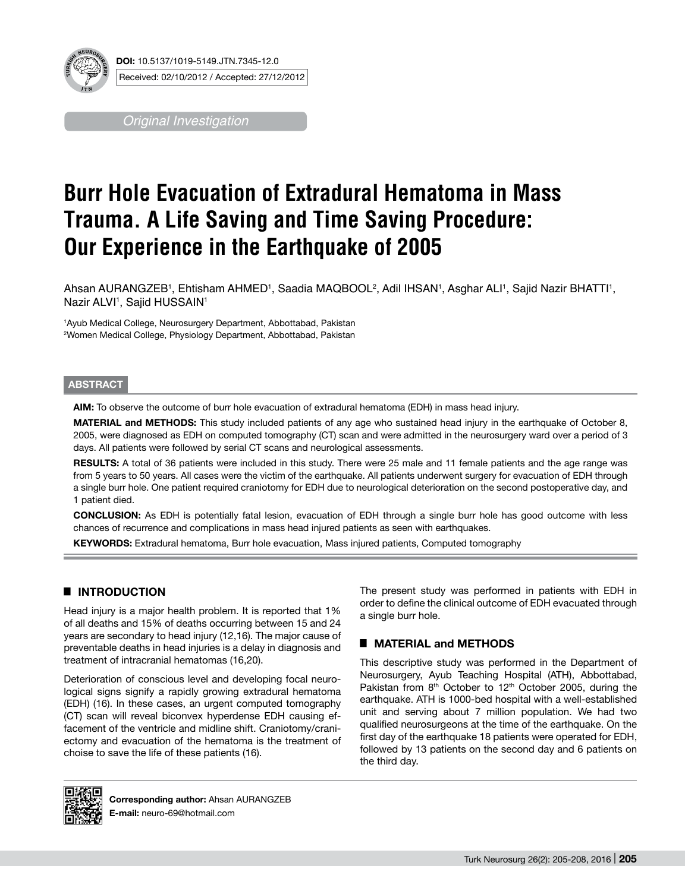

**DOI:** 10.5137/1019-5149.JTN.7345-12.0 Received: 02/10/2012 / Accepted: 27/12/2012

*Original Investigation*

# **Burr Hole Evacuation of Extradural Hematoma in Mass Trauma. A Life Saving and Time Saving Procedure: Our Experience in the Earthquake of 2005**

Ahsan AURANGZEB', Ehtisham AHMED', Saadia MAQBOOL<sup>2</sup>, Adil IHSAN', Asghar ALI', Sajid Nazir BHATTI', Nazir ALVI1 , Sajid HUSSAIN1

1 Ayub Medical College, Neurosurgery Department, Abbottabad, Pakistan 2 Women Medical College, Physiology Department, Abbottabad, Pakistan

#### **ABSTRACT**

**AIm:** To observe the outcome of burr hole evacuation of extradural hematoma (EDH) in mass head injury.

**MATERIAL and METHODS:** This study included patients of any age who sustained head injury in the earthquake of October 8, 2005, were diagnosed as EDH on computed tomography (CT) scan and were admitted in the neurosurgery ward over a period of 3 days. All patients were followed by serial CT scans and neurological assessments.

RESULTS: A total of 36 patients were included in this study. There were 25 male and 11 female patients and the age range was from 5 years to 50 years. All cases were the victim of the earthquake. All patients underwent surgery for evacuation of EDH through a single burr hole. One patient required craniotomy for EDH due to neurological deterioration on the second postoperative day, and 1 patient died.

**ConclusIon:** As EDH is potentially fatal lesion, evacuation of EDH through a single burr hole has good outcome with less chances of recurrence and complications in mass head injured patients as seen with earthquakes.

**KEYWORDS:** Extradural hematoma, Burr hole evacuation, Mass injured patients, Computed tomography

## █ **INTRODUCTION**

Head injury is a major health problem. It is reported that 1% of all deaths and 15% of deaths occurring between 15 and 24 years are secondary to head injury (12,16). The major cause of preventable deaths in head injuries is a delay in diagnosis and treatment of intracranial hematomas (16,20).

Deterioration of conscious level and developing focal neurological signs signify a rapidly growing extradural hematoma (EDH) (16). In these cases, an urgent computed tomography (CT) scan will reveal biconvex hyperdense EDH causing effacement of the ventricle and midline shift. Craniotomy/craniectomy and evacuation of the hematoma is the treatment of choise to save the life of these patients (16).

The present study was performed in patients with EDH in order to define the clinical outcome of EDH evacuated through a single burr hole.

### █ **MATERIAL and METHODS**

This descriptive study was performed in the Department of Neurosurgery, Ayub Teaching Hospital (ATH), Abbottabad, Pakistan from 8<sup>th</sup> October to 12<sup>th</sup> October 2005, during the earthquake. ATH is 1000-bed hospital with a well-established unit and serving about 7 million population. We had two qualified neurosurgeons at the time of the earthquake. On the first day of the earthquake 18 patients were operated for EDH, followed by 13 patients on the second day and 6 patients on the third day.



**Corresponding author:** Ahsan AURANGZEB **E-mail:** neuro-69@hotmail.com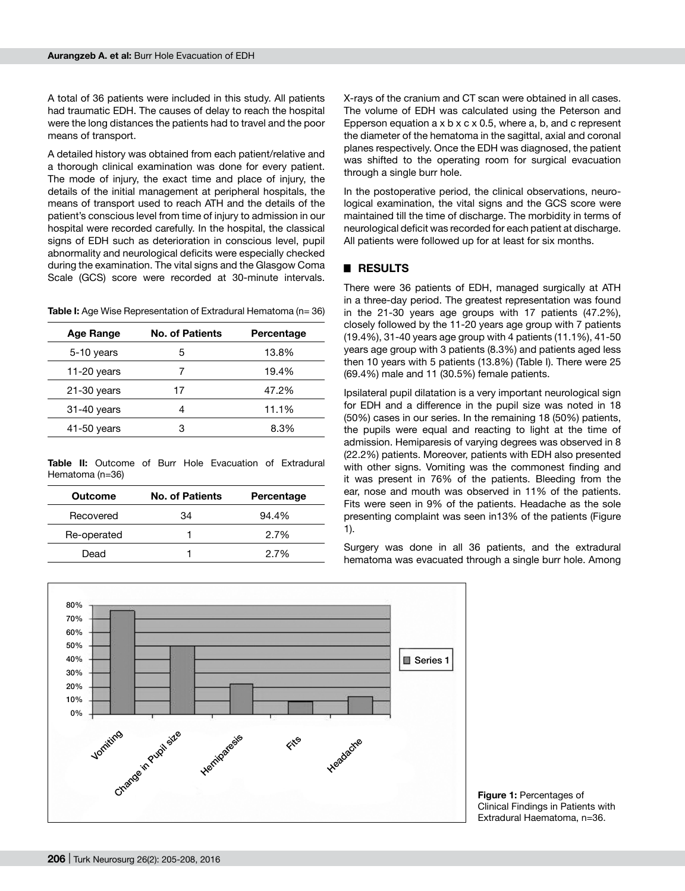A total of 36 patients were included in this study. All patients had traumatic EDH. The causes of delay to reach the hospital were the long distances the patients had to travel and the poor means of transport.

A detailed history was obtained from each patient/relative and a thorough clinical examination was done for every patient. The mode of injury, the exact time and place of injury, the details of the initial management at peripheral hospitals, the means of transport used to reach ATH and the details of the patient's conscious level from time of injury to admission in our hospital were recorded carefully. In the hospital, the classical signs of EDH such as deterioration in conscious level, pupil abnormality and neurological deficits were especially checked during the examination. The vital signs and the Glasgow Coma Scale (GCS) score were recorded at 30-minute intervals.

**Table I:** Age Wise Representation of Extradural Hematoma (n= 36)

| <b>No. of Patients</b> | Percentage |
|------------------------|------------|
| 5                      | 13.8%      |
|                        | 19.4%      |
| 17                     | 47.2%      |
| 4                      | 11.1%      |
| з                      | 8.3%       |
|                        |            |

**Table II:** Outcome of Burr Hole Evacuation of Extradural Hematoma (n=36)

| Outcome     | <b>No. of Patients</b> | Percentage |
|-------------|------------------------|------------|
| Recovered   | 34                     | $94.4\%$   |
| Re-operated |                        | 2.7%       |
| Dead        |                        | 2.7%       |

X-rays of the cranium and CT scan were obtained in all cases. The volume of EDH was calculated using the Peterson and Epperson equation  $a \times b \times c \times 0.5$ , where  $a, b$ , and c represent the diameter of the hematoma in the sagittal, axial and coronal planes respectively. Once the EDH was diagnosed, the patient was shifted to the operating room for surgical evacuation through a single burr hole.

In the postoperative period, the clinical observations, neurological examination, the vital signs and the GCS score were maintained till the time of discharge. The morbidity in terms of neurological deficit was recorded for each patient at discharge. All patients were followed up for at least for six months.

#### █ **RESULTS**

There were 36 patients of EDH, managed surgically at ATH in a three-day period. The greatest representation was found in the 21-30 years age groups with 17 patients (47.2%), closely followed by the 11-20 years age group with 7 patients (19.4%), 31-40 years age group with 4 patients (11.1%), 41-50 years age group with 3 patients (8.3%) and patients aged less then 10 years with 5 patients (13.8%) (Table I). There were 25 (69.4%) male and 11 (30.5%) female patients.

Ipsilateral pupil dilatation is a very important neurological sign for EDH and a difference in the pupil size was noted in 18 (50%) cases in our series. In the remaining 18 (50%) patients, the pupils were equal and reacting to light at the time of admission. Hemiparesis of varying degrees was observed in 8 (22.2%) patients. Moreover, patients with EDH also presented with other signs. Vomiting was the commonest finding and it was present in 76% of the patients. Bleeding from the ear, nose and mouth was observed in 11% of the patients. Fits were seen in 9% of the patients. Headache as the sole presenting complaint was seen in13% of the patients (Figure 1).

Surgery was done in all 36 patients, and the extradural hematoma was evacuated through a single burr hole. Among



**Figure 1: Percentages of** Clinical Findings in Patients with Extradural Haematoma, n=36.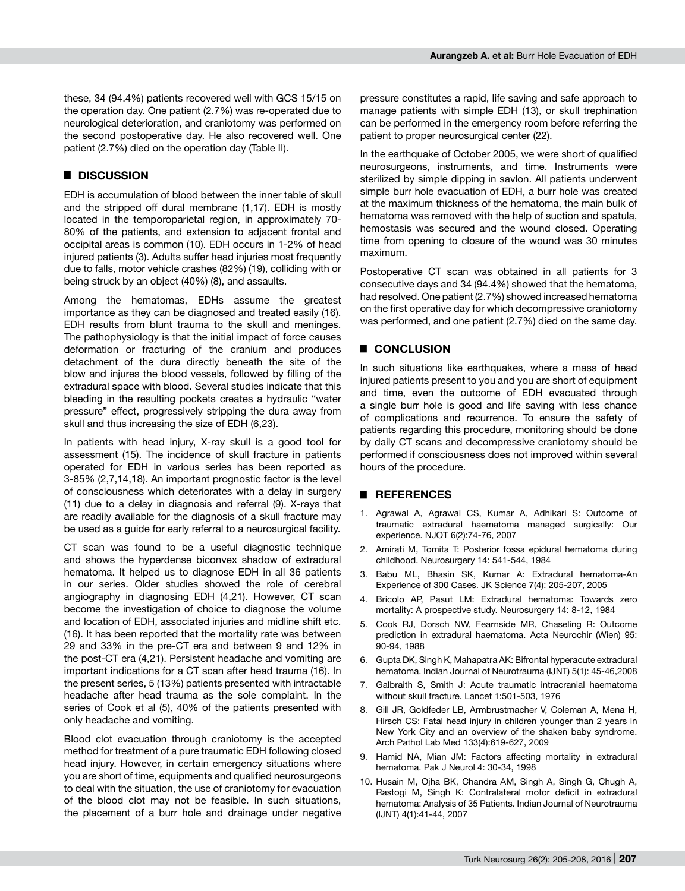these, 34 (94.4%) patients recovered well with GCS 15/15 on the operation day. One patient (2.7%) was re-operated due to neurological deterioration, and craniotomy was performed on the second postoperative day. He also recovered well. One patient (2.7%) died on the operation day (Table II).

#### █ **DISCUSSION**

EDH is accumulation of blood between the inner table of skull and the stripped off dural membrane (1,17). EDH is mostly located in the temporoparietal region, in approximately 70- 80% of the patients, and extension to adjacent frontal and occipital areas is common (10). EDH occurs in 1-2% of head injured patients (3). Adults suffer head injuries most frequently due to falls, motor vehicle crashes (82%) (19), colliding with or being struck by an object (40%) (8), and assaults.

Among the hematomas, EDHs assume the greatest importance as they can be diagnosed and treated easily (16). EDH results from blunt trauma to the skull and meninges. The pathophysiology is that the initial impact of force causes deformation or fracturing of the cranium and produces detachment of the dura directly beneath the site of the blow and injures the blood vessels, followed by filling of the extradural space with blood. Several studies indicate that this bleeding in the resulting pockets creates a hydraulic "water pressure" effect, progressively stripping the dura away from skull and thus increasing the size of EDH (6,23).

In patients with head injury, X-ray skull is a good tool for assessment (15). The incidence of skull fracture in patients operated for EDH in various series has been reported as 3-85% (2,7,14,18). An important prognostic factor is the level of consciousness which deteriorates with a delay in surgery (11) due to a delay in diagnosis and referral (9). X-rays that are readily available for the diagnosis of a skull fracture may be used as a guide for early referral to a neurosurgical facility.

CT scan was found to be a useful diagnostic technique and shows the hyperdense biconvex shadow of extradural hematoma. It helped us to diagnose EDH in all 36 patients in our series. Older studies showed the role of cerebral angiography in diagnosing EDH (4,21). However, CT scan become the investigation of choice to diagnose the volume and location of EDH, associated injuries and midline shift etc. (16). It has been reported that the mortality rate was between 29 and 33% in the pre-CT era and between 9 and 12% in the post-CT era (4,21). Persistent headache and vomiting are important indications for a CT scan after head trauma (16). In the present series, 5 (13%) patients presented with intractable headache after head trauma as the sole complaint. In the series of Cook et al (5), 40% of the patients presented with only headache and vomiting.

Blood clot evacuation through craniotomy is the accepted method for treatment of a pure traumatic EDH following closed head injury. However, in certain emergency situations where you are short of time, equipments and qualified neurosurgeons to deal with the situation, the use of craniotomy for evacuation of the blood clot may not be feasible. In such situations, the placement of a burr hole and drainage under negative pressure constitutes a rapid, life saving and safe approach to manage patients with simple EDH (13), or skull trephination can be performed in the emergency room before referring the patient to proper neurosurgical center (22).

In the earthquake of October 2005, we were short of qualified neurosurgeons, instruments, and time. Instruments were sterilized by simple dipping in savlon. All patients underwent simple burr hole evacuation of EDH, a burr hole was created at the maximum thickness of the hematoma, the main bulk of hematoma was removed with the help of suction and spatula, hemostasis was secured and the wound closed. Operating time from opening to closure of the wound was 30 minutes maximum.

Postoperative CT scan was obtained in all patients for 3 consecutive days and 34 (94.4%) showed that the hematoma, had resolved. One patient (2.7%) showed increased hematoma on the first operative day for which decompressive craniotomy was performed, and one patient (2.7%) died on the same day.

#### █ **CONCLUSION**

In such situations like earthquakes, where a mass of head injured patients present to you and you are short of equipment and time, even the outcome of EDH evacuated through a single burr hole is good and life saving with less chance of complications and recurrence. To ensure the safety of patients regarding this procedure, monitoring should be done by daily CT scans and decompressive craniotomy should be performed if consciousness does not improved within several hours of the procedure.

#### █ **REFERENCES**

- 1. Agrawal A, Agrawal CS, Kumar A, Adhikari S: Outcome of traumatic extradural haematoma managed surgically: Our experience. NJOT 6(2):74-76, 2007
- 2. Amirati M, Tomita T: Posterior fossa epidural hematoma during childhood. Neurosurgery 14: 541-544, 1984
- 3. Babu ML, Bhasin SK, Kumar A: Extradural hematoma-An Experience of 300 Cases. JK Science 7(4): 205-207, 2005
- 4. Bricolo AP, Pasut LM: Extradural hematoma: Towards zero mortality: A prospective study. Neurosurgery 14: 8-12, 1984
- 5. Cook RJ, Dorsch NW, Fearnside MR, Chaseling R: Outcome prediction in extradural haematoma. Acta Neurochir (Wien) 95: 90-94, 1988
- 6. Gupta DK, Singh K, Mahapatra AK: Bifrontal hyperacute extradural hematoma. Indian Journal of Neurotrauma (IJNT) 5(1): 45-46,2008
- 7. Galbraith S, Smith J: Acute traumatic intracranial haematoma without skull fracture. Lancet 1:501-503, 1976
- 8. Gill JR, Goldfeder LB, Armbrustmacher V, Coleman A, Mena H, Hirsch CS: Fatal head injury in children younger than 2 years in New York City and an overview of the shaken baby syndrome. Arch Pathol Lab Med 133(4):619-627, 2009
- 9. Hamid NA, Mian JM: Factors affecting mortality in extradural hematoma. Pak J Neurol 4: 30-34, 1998
- 10. Husain M, Ojha BK, Chandra AM, Singh A, Singh G, Chugh A, Rastogi M, Singh K: Contralateral motor deficit in extradural hematoma: Analysis of 35 Patients. Indian Journal of Neurotrauma (IJNT) 4(1):41-44, 2007